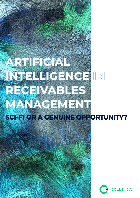# **ARTIFICIAL**  INTELLIGENCE IN **RECEIVABLES MANAGEMENT SCI-FI OR A GENUINE OPPORTUNITY?**

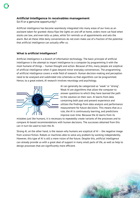# **Artificial intelligence in receivables management**  Sci-fi or a genuine opportunity?

Artificial intelligence has become seamlessly integrated into many areas of our lives as an assistant taken for granted: Alexa flips the lights on and off at home, orders more cat food when stocks are low, and even tells us jokes, while Siri reminds us of appointments and sets the alarm. But all these little daily conveniences do not even make use of a fraction of the potential that artificial intelligence can actually offer us.

# **What is artificial intelligence?**

Artificial intelligence is a branch of information technology. The basic principle of artificial intelligence is the attempt to impart intelligence to a computer by programming it with the most humane of things – human thought and action. Because of this, many people are sceptical of artificial intelligence when it goes beyond minor everyday conveniences. The programming of artificial intelligence covers a wide field of research. Human decision-making and perception need to be analysed and subdivided into schemata so that algorithms can be programmed. Hence, to a great extent, AI research involves neurology and psychology.



AI can generally be categorized as "weak" or "strong". Weak AI are algorithms that allow the computer to answer questions to which they have learned the path to the solution on their own. AI learns from data containing both past and present experience and utilizes the findings from data analysis and performance measurement for future decisions. This means that as a rule, the AI is continuously learning, and predictions improve over time. Because the AI learns from its

mistakes just like humans, it is necessary to repeatedly create variants of the processes and to compare AI-based recommendations with human decisions. The successes obtained from this can in turn be used to train the AI.

Strong AI, on the other hand, is the reason why humans are sceptical of AI – the negative image from science fiction. Robots or machines able to solve any problem by working independently. However, this type of AI is still a mere vision of the future. Despite this, artificial intelligence can already provide us with a great deal of support in many small parts of life, as well as help to design processes that are significantly more efficient.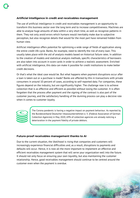# **Artificial intelligence in credit and receivables management**

The use of artificial intelligence in credit and receivables management is an opportunity to transform this business sector over the long term and to increase competitiveness. Machines are able to analyse huge amounts of data within a very short time, as well as recognize patterns in them. They not only avoid errors which humans would inevitably make due to subjective perception, but also recognize details that would for the most part have remained hidden from human view.

Artificial intelligence offers potential for optimising a wide range of fields of application along the entire credit life cycle. Banks, for example, need to identify the risk of every loan. This usually takes place with the aid of analysis models based on historical failure rates. In addition to the creation of models and statistical analysis methods, specific characteristics of borrowers are also taken into account in score cards in order to achieve a realistic assessment. Enriched with artificial intelligence, this data can make it possible for credit institutions to make better credit decisions.

Or that's what the ideal case would be. But what happens when payment disruptions occur after a loan is taken out or a purchase is made? Banks are affected by this in transactions with private consumers in around 10 percent of cases, according to self-reported data. For companies, these figures depend on the industry, but are significantly higher. The challenge now is to achieve collection that is as effective and efficient as possible without losing the customer. It is often forgotten that the process after payment and the signing of the contract is also part of the customer journey, and the satisfactory handling of the dunning process can play a decisive role when it comes to customer loyalty.



The Corona pandemic is having a negative impact on payment behaviour. As reported by the Bundesverband Deutscher Inkassounternehmen e. V. (Federal Association of German Collection Agencies) in May 2020, 69% of collection agencies are already noticing a deterioration in the payment fidelity of private debtors.

#### **Future-proof receivables management thanks to AI**

Due to the current situation, the likelihood is rising that companies and customers will increasingly experience financial difficulties and, as a result, disruptions to payments and defaults will occur. Hence, it is now all the more important to implement an effective and efficient receivables management system that will serve your organization well into the future. It should not only focus on ensuring your own liquidity, but also maintaining the customer relationship. Hence, good receivables management should continue to be centred around the customer even when the payment is overdue.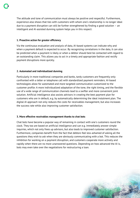The attitude and tone of communication must always be positive and respectful. Furthermore, experience also shows that ties with customers with whom one's relationship is no longer ideal due to a payment disruption can still be further strengthened by finding a good solution – an intelligent and AI-assisted dunning system helps you in this respect:

### **1. Proactive action for greater efficiency**

Via the continuous evaluation and analysis of data, AI-based systems can indicate why and when a payment default is expected to occur. By recognizing correlations in the data, it can also be predicted when a payment is likely or when a debtor should best be contacted with regard to an outstanding claim. This allows you to act in a timely and appropriate fashion and rectify payment disruptions more quickly.

## **2. Automated and individualized dunning**

Particularly in more traditional companies and banks, tardy customers are frequently only confronted with a letter or telephone call with standardized payment reminders. AI-based technologies allow for automated and more targeted communication customized to the customer profile: A more individualized adaptation of the tone, the right timing, and the flexible use of a wide range of communication channels lead to a swifter and more convenient joint solution. Artificial intelligence also assists advisors in creating the best payment plan for customers who are in default, e.g. by automatically determining the ideal instalment plan. The digital AI approach not only reduces the costs for receivables management, but also increases the success rate while also improving customer satisfaction.

#### **3. More effective receivables management thanks to chat bots**

Chat bots have become a popular way of remaining in contact with one's customers round the clock. They too are based on artificial intelligence and can e.g. immediately answer simple inquiries, which not only frees up advisors, but also leads to improved customer satisfaction. Furthermore, companies benefit from the fact that debtors feel less ashamed of asking all the questions they wish to ask when they are obviously communicating with a bot. This reduces the inhibition for working on a payment disruption, and customers cooperate more actively and rapidly when there are no more unanswered questions. Depending on how advanced the AI is, bots may even take over the negotiations for restructuring a loan.